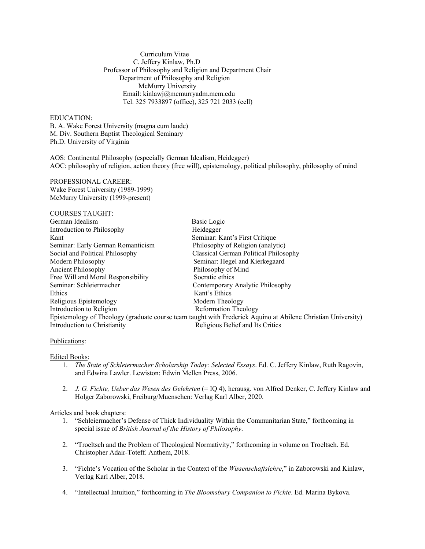Curriculum Vitae C. Jeffery Kinlaw, Ph.D Professor of Philosophy and Religion and Department Chair Department of Philosophy and Religion McMurry University Email: kinlawj@mcmurryadm.mcm.edu Tel. 325 7933897 (office), 325 721 2033 (cell)

# EDUCATION:

B. A. Wake Forest University (magna cum laude) M. Div. Southern Baptist Theological Seminary Ph.D. University of Virginia

AOS: Continental Philosophy (especially German Idealism, Heidegger) AOC: philosophy of religion, action theory (free will), epistemology, political philosophy, philosophy of mind

## PROFESSIONAL CAREER:

Wake Forest University (1989-1999) McMurry University (1999-present)

## COURSES TAUGHT:

| German Idealism                                                                                              | Basic Logic                           |
|--------------------------------------------------------------------------------------------------------------|---------------------------------------|
| Introduction to Philosophy                                                                                   | Heidegger                             |
| Kant                                                                                                         | Seminar: Kant's First Critique        |
| Seminar: Early German Romanticism                                                                            | Philosophy of Religion (analytic)     |
| Social and Political Philosophy                                                                              | Classical German Political Philosophy |
| Modern Philosophy                                                                                            | Seminar: Hegel and Kierkegaard        |
| Ancient Philosophy                                                                                           | Philosophy of Mind                    |
| Free Will and Moral Responsibility                                                                           | Socratic ethics                       |
| Seminar: Schleiermacher                                                                                      | Contemporary Analytic Philosophy      |
| Ethics                                                                                                       | Kant's Ethics                         |
| Religious Epistemology                                                                                       | Modern Theology                       |
| Introduction to Religion                                                                                     | <b>Reformation Theology</b>           |
| Epistemology of Theology (graduate course team taught with Frederick Aquino at Abilene Christian University) |                                       |
| Introduction to Christianity                                                                                 | Religious Belief and Its Critics      |

## Publications:

## Edited Books:

- 1. *The State of Schleiermacher Scholarship Today: Selected Essays*. Ed. C. Jeffery Kinlaw, Ruth Ragovin, and Edwina Lawler. Lewiston: Edwin Mellen Press, 2006.
- 2. *J. G. Fichte, Ueber das Wesen des Gelehrten* (= IQ 4), herausg. von Alfred Denker, C. Jeffery Kinlaw and Holger Zaborowski, Freiburg/Muenschen: Verlag Karl Alber, 2020.

## Articles and book chapters:

- 1. "Schleiermacher's Defense of Thick Individuality Within the Communitarian State," forthcoming in special issue of *British Journal of the History of Philosophy*.
- 2. "Troeltsch and the Problem of Theological Normativity," forthcoming in volume on Troeltsch. Ed. Christopher Adair-Toteff. Anthem, 2018.
- 3. "Fichte's Vocation of the Scholar in the Context of the *Wissenschaftslehre*," in Zaborowski and Kinlaw, Verlag Karl Alber, 2018.
- 4. "Intellectual Intuition," forthcoming in *The Bloomsbury Companion to Fichte*. Ed. Marina Bykova.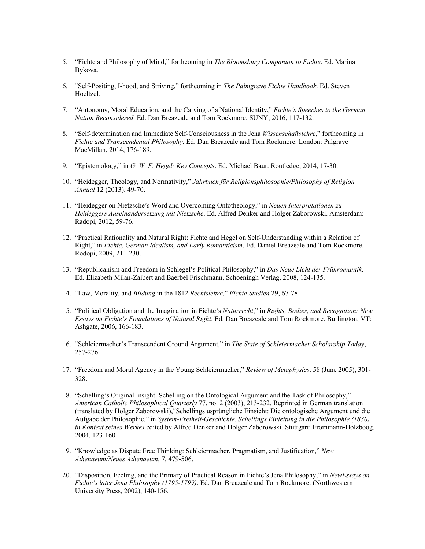- 5. "Fichte and Philosophy of Mind," forthcoming in *The Bloomsbury Companion to Fichte*. Ed. Marina Bykova.
- 6. "Self-Positing, I-hood, and Striving," forthcoming in *The Palmgrave Fichte Handbook*. Ed. Steven Hoeltzel.
- 7. "Autonomy, Moral Education, and the Carving of a National Identity," *Fichte's Speeches to the German Nation Reconsidered*. Ed. Dan Breazeale and Tom Rockmore. SUNY, 2016, 117-132.
- 8. "Self-determination and Immediate Self-Consciousness in the Jena *Wissenschaftslehre*," forthcoming in *Fichte and Transcendental Philosophy*, Ed. Dan Breazeale and Tom Rockmore. London: Palgrave MacMillan, 2014, 176-189.
- 9. "Epistemology," in *G. W. F. Hegel: Key Concepts*. Ed. Michael Baur. Routledge, 2014, 17-30.
- 10. "Heidegger, Theology, and Normativity," *Jahrbuch für Religionsphilosophie/Philosophy of Religion Annual* 12 (2013), 49-70.
- 11. "Heidegger on Nietzsche's Word and Overcoming Ontotheology," in *Neuen Interpretationen zu Heideggers Auseinandersetzung mit Nietzsche*. Ed. Alfred Denker and Holger Zaborowski. Amsterdam: Radopi, 2012, 59-76.
- 12. "Practical Rationality and Natural Right: Fichte and Hegel on Self-Understanding within a Relation of Right," in *Fichte, German Idealism, and Early Romanticism*. Ed. Daniel Breazeale and Tom Rockmore. Rodopi, 2009, 211-230.
- 13. "Republicanism and Freedom in Schlegel's Political Philosophy," in *Das Neue Licht der Frühromantik*. Ed. Elizabeth Milan-Zaibert and Baerbel Frischmann, Schoeningh Verlag, 2008, 124-135.
- 14. "Law, Morality, and *Bildung* in the 1812 *Rechtslehre*," *Fichte Studien* 29, 67-78
- 15. "Political Obligation and the Imagination in Fichte's *Naturrecht*," in *Rights, Bodies, and Recognition: New Essays on Fichte's Foundations of Natural Right*. Ed. Dan Breazeale and Tom Rockmore. Burlington, VT: Ashgate, 2006, 166-183.
- 16. "Schleiermacher's Transcendent Ground Argument," in *The State of Schleiermacher Scholarship Today*, 257-276.
- 17. "Freedom and Moral Agency in the Young Schleiermacher," *Review of Metaphysics*. 58 (June 2005), 301- 328.
- 18. "Schelling's Original Insight: Schelling on the Ontological Argument and the Task of Philosophy," *American Catholic Philosophical Quarterly* 77, no. 2 (2003), 213-232. Reprinted in German translation (translated by Holger Zaborowski),"Schellings usprüngliche Einsicht: Die ontologische Argument und die Aufgabe der Philosophie," in *System-Freiheit-Geschichte. Schellings Einleitung in die Philosophie (1830) in Kontext seines Werkes* edited by Alfred Denker and Holger Zaborowski. Stuttgart: Frommann-Holzboog, 2004, 123-160
- 19. "Knowledge as Dispute Free Thinking: Schleiermacher, Pragmatism, and Justification," *New Athenaeum/Neues Athenaeum*, 7, 479-506.
- 20. "Disposition, Feeling, and the Primary of Practical Reason in Fichte's Jena Philosophy," in *NewEssays on Fichte's later Jena Philosophy (1795-1799)*. Ed. Dan Breazeale and Tom Rockmore. (Northwestern University Press, 2002), 140-156.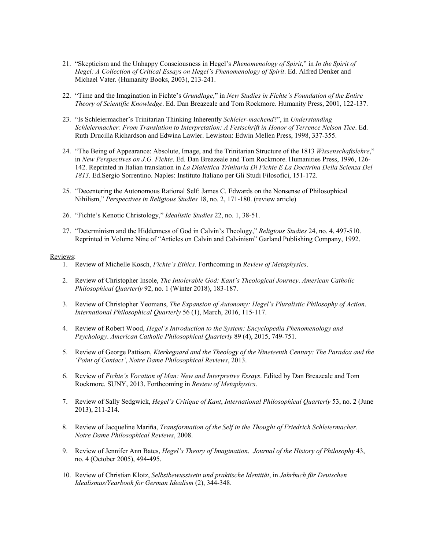- 21. "Skepticism and the Unhappy Consciousness in Hegel's *Phenomenology of Spirit*," in *In the Spirit of Hegel: A Collection of Critical Essays on Hegel's Phenomenology of Spirit*. Ed. Alfred Denker and Michael Vater. (Humanity Books, 2003), 213-241.
- 22. "Time and the Imagination in Fichte's *Grundlage*," in *New Studies in Fichte's Foundation of the Entire Theory of Scientific Knowledge*. Ed. Dan Breazeale and Tom Rockmore. Humanity Press, 2001, 122-137.
- 23. "Is Schleiermacher's Trinitarian Thinking Inherently *Schleier-machend*?", in *Understanding Schleiermacher: From Translation to Interpretation: A Festschrift in Honor of Terrence Nelson Tice*. Ed. Ruth Drucilla Richardson and Edwina Lawler. Lewiston: Edwin Mellen Press, 1998, 337-355.
- 24. "The Being of Appearance: Absolute, Image, and the Trinitarian Structure of the 1813 *Wissenschaftslehre*," in *New Perspectives on J.G. Fichte*. Ed. Dan Breazeale and Tom Rockmore. Humanities Press, 1996, 126- 142. Reprinted in Italian translation in *La Dialettica Trinitaria Di Fichte E La Docttrina Della Scienza Del 1813*. Ed.Sergio Sorrentino. Naples: Instituto Italiano per Gli Studi Filosofici, 151-172.
- 25. "Decentering the Autonomous Rational Self: James C. Edwards on the Nonsense of Philosophical Nihilism," *Perspectives in Religious Studies* 18, no. 2, 171-180. (review article)
- 26. "Fichte's Kenotic Christology," *Idealistic Studies* 22, no. 1, 38-51.
- 27. "Determinism and the Hiddenness of God in Calvin's Theology," *Religious Studies* 24, no. 4, 497-510. Reprinted in Volume Nine of "Articles on Calvin and Calvinism" Garland Publishing Company, 1992.

## Reviews:

- 1. Review of Michelle Kosch, *Fichte's Ethics*. Forthcoming in *Review of Metaphysics*.
- 2. Review of Christopher Insole, *The Intolerable God: Kant's Theological Journey*. *American Catholic Philosophical Quarterly* 92, no. 1 (Winter 2018), 183-187.
- 3. Review of Christopher Yeomans, *The Expansion of Autonomy: Hegel's Pluralistic Philosophy of Action*. *International Philosophical Quarterly* 56 (1), March, 2016, 115-117.
- 4. Review of Robert Wood, *Hegel's Introduction to the System: Encyclopedia Phenomenology and Psychology*. *American Catholic Philosophical Quarterly* 89 (4), 2015, 749-751.
- 5. Review of George Pattison, *Kierkegaard and the Theology of the Nineteenth Century: The Paradox and the 'Point of Contact'*, *Notre Dame Philosophical Reviews*, 2013.
- 6. Review of *Fichte's Vocation of Man: New and Interpretive Essays*. Edited by Dan Breazeale and Tom Rockmore. SUNY, 2013. Forthcoming in *Review of Metaphysics*.
- 7. Review of Sally Sedgwick, *Hegel's Critique of Kant*, *International Philosophical Quarterly* 53, no. 2 (June 2013), 211-214.
- 8. Review of Jacqueline Mariña, *Transformation of the Self in the Thought of Friedrich Schleiermacher*. *Notre Dame Philosophical Reviews*, 2008.
- 9. Review of Jennifer Ann Bates, *Hegel's Theory of Imagination*. *Journal of the History of Philosophy* 43, no. 4 (October 2005), 494-495.
- 10. Review of Christian Klotz, *Selbstbewusstsein und praktische Identität*, in *Jahrbuch für Deutschen Idealismus/Yearbook for German Idealism* (2), 344-348.